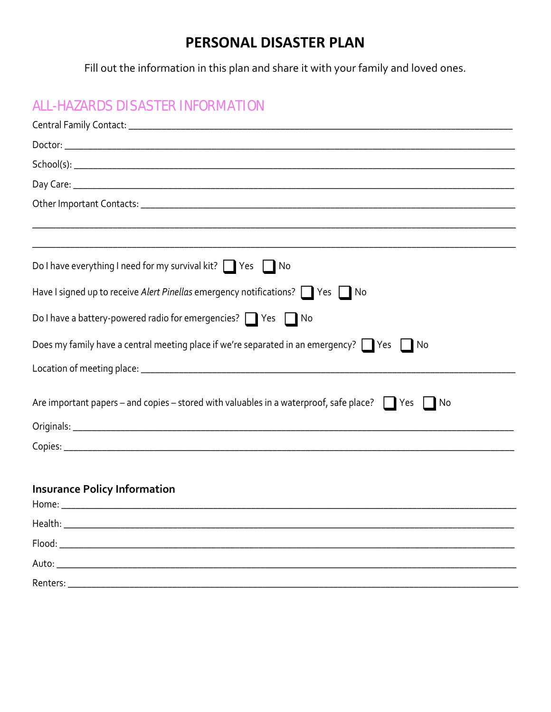## PERSONAL DISASTER PLAN

Fill out the information in this plan and share it with your family and loved ones.

## **ALL-HAZARDS DISASTER INFORMATION**

| Do I have everything I need for my survival kit? $\Box$ Yes $\Box$ No                                       |
|-------------------------------------------------------------------------------------------------------------|
| Have I signed up to receive Alert Pinellas emergency notifications? Ves No                                  |
| Do I have a battery-powered radio for emergencies? Ves No                                                   |
| Does my family have a central meeting place if we're separated in an emergency? $\Box$ Yes $\Box$ No        |
|                                                                                                             |
| Are important papers – and copies – stored with valuables in a waterproof, safe place? $\Box$ Yes $\Box$ No |
|                                                                                                             |
|                                                                                                             |
|                                                                                                             |
| <b>Insurance Policy Information</b>                                                                         |
| Health:                                                                                                     |
|                                                                                                             |
|                                                                                                             |
|                                                                                                             |